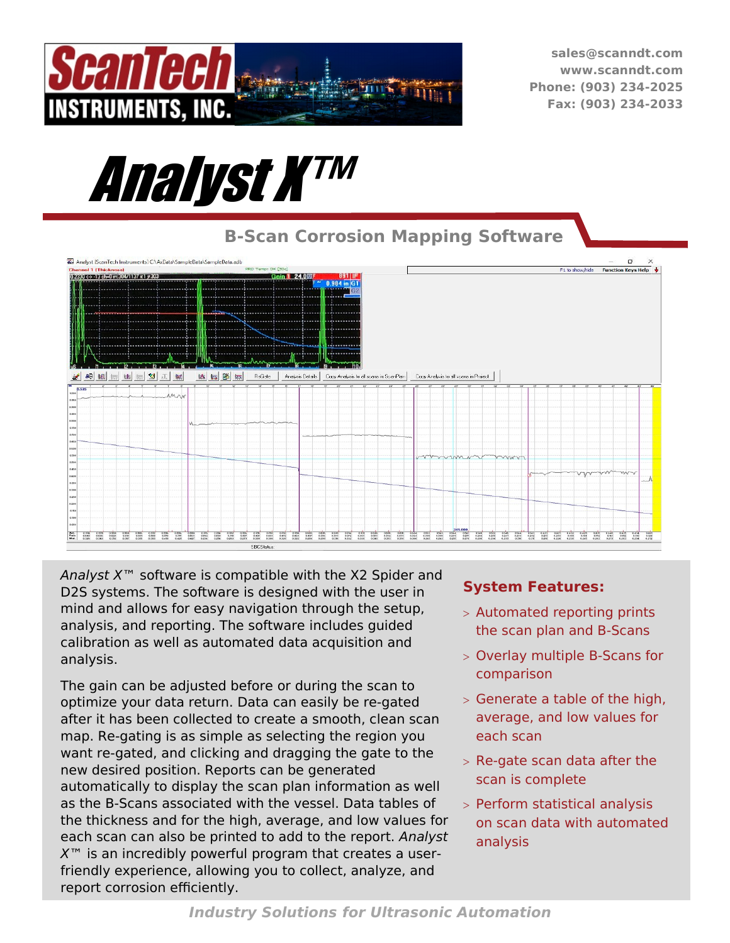

**sales@scanndt.com www.scanndt.com Phone: (903) 234-2025 Fax: (903) 234-2033**



## **B-Scan Corrosion Mapping Software**



*Analyst X*™ software is compatible with the X2 Spider and D2S systems. The software is designed with the user in mind and allows for easy navigation through the setup, analysis, and reporting. The software includes guided calibration as well as automated data acquisition and analysis.

The gain can be adjusted before or during the scan to optimize your data return. Data can easily be re-gated after it has been collected to create a smooth, clean scan map. Re-gating is as simple as selecting the region you want re-gated, and clicking and dragging the gate to the new desired position. Reports can be generated automatically to display the scan plan information as well as the B-Scans associated with the vessel. Data tables of the thickness and for the high, average, and low values for each scan can also be printed to add to the report. *Analyst X*™ is an incredibly powerful program that creates a userfriendly experience, allowing you to collect, analyze, and report corrosion efficiently.

## **System Features:**

- Automated reporting prints the scan plan and B-Scans
- Overlay multiple B-Scans for comparison
- $>$  Generate a table of the high, average, and low values for each scan
- $>$  Re-gate scan data after the scan is complete
- Perform statistical analysis on scan data with automated analysis